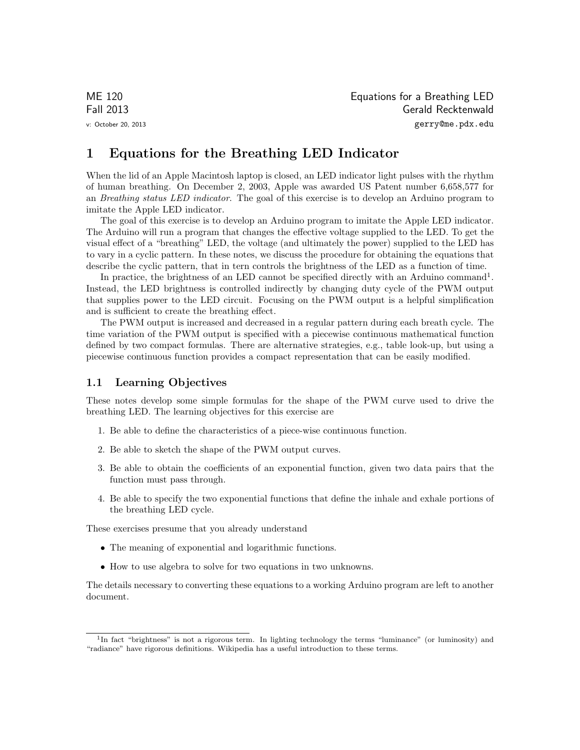ME 120 Equations for a Breathing LED Fall 2013 Gerald Recktenwald v: October 20, 2013 gerry@me.pdx.edu

# 1 Equations for the Breathing LED Indicator

When the lid of an Apple Macintosh laptop is closed, an LED indicator light pulses with the rhythm of human breathing. On December 2, 2003, Apple was awarded US Patent number 6,658,577 for an Breathing status LED indicator. The goal of this exercise is to develop an Arduino program to imitate the Apple LED indicator.

The goal of this exercise is to develop an Arduino program to imitate the Apple LED indicator. The Arduino will run a program that changes the effective voltage supplied to the LED. To get the visual effect of a "breathing" LED, the voltage (and ultimately the power) supplied to the LED has to vary in a cyclic pattern. In these notes, we discuss the procedure for obtaining the equations that describe the cyclic pattern, that in tern controls the brightness of the LED as a function of time.

In practice, the brightness of an LED cannot be specified directly with an Arduino command<sup>1</sup>. Instead, the LED brightness is controlled indirectly by changing duty cycle of the PWM output that supplies power to the LED circuit. Focusing on the PWM output is a helpful simplification and is sufficient to create the breathing effect.

The PWM output is increased and decreased in a regular pattern during each breath cycle. The time variation of the PWM output is specified with a piecewise continuous mathematical function defined by two compact formulas. There are alternative strategies, e.g., table look-up, but using a piecewise continuous function provides a compact representation that can be easily modified.

### 1.1 Learning Objectives

These notes develop some simple formulas for the shape of the PWM curve used to drive the breathing LED. The learning objectives for this exercise are

- 1. Be able to define the characteristics of a piece-wise continuous function.
- 2. Be able to sketch the shape of the PWM output curves.
- 3. Be able to obtain the coefficients of an exponential function, given two data pairs that the function must pass through.
- 4. Be able to specify the two exponential functions that define the inhale and exhale portions of the breathing LED cycle.

These exercises presume that you already understand

- The meaning of exponential and logarithmic functions.
- How to use algebra to solve for two equations in two unknowns.

The details necessary to converting these equations to a working Arduino program are left to another document.

<sup>&</sup>lt;sup>1</sup>In fact "brightness" is not a rigorous term. In lighting technology the terms "luminance" (or luminosity) and "radiance" have rigorous definitions. Wikipedia has a useful introduction to these terms.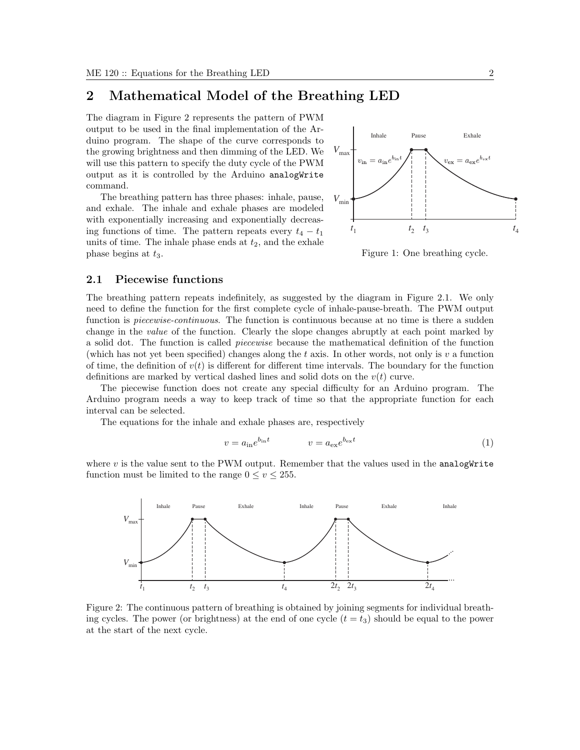## 2 Mathematical Model of the Breathing LED

The diagram in Figure 2 represents the pattern of PWM output to be used in the final implementation of the Arduino program. The shape of the curve corresponds to the growing brightness and then dimming of the LED. We will use this pattern to specify the duty cycle of the PWM output as it is controlled by the Arduino analogWrite command.

The breathing pattern has three phases: inhale, pause, and exhale. The inhale and exhale phases are modeled with exponentially increasing and exponentially decreasing functions of time. The pattern repeats every  $t_4 - t_1$ units of time. The inhale phase ends at  $t_2$ , and the exhale phase begins at  $t_3$ .



Figure 1: One breathing cycle.

### 2.1 Piecewise functions

The breathing pattern repeats indefinitely, as suggested by the diagram in Figure 2.1. We only need to define the function for the first complete cycle of inhale-pause-breath. The PWM output function is *piecewise-continuous*. The function is continuous because at no time is there a sudden change in the value of the function. Clearly the slope changes abruptly at each point marked by a solid dot. The function is called piecewise because the mathematical definition of the function (which has not yet been specified) changes along the t axis. In other words, not only is v a function of time, the definition of  $v(t)$  is different for different time intervals. The boundary for the function definitions are marked by vertical dashed lines and solid dots on the  $v(t)$  curve.

The piecewise function does not create any special difficulty for an Arduino program. The Arduino program needs a way to keep track of time so that the appropriate function for each interval can be selected.

The equations for the inhale and exhale phases are, respectively

$$
v = a_{\rm in} e^{b_{\rm in} t} \qquad \qquad v = a_{\rm ex} e^{b_{\rm ex} t} \tag{1}
$$

where  $v$  is the value sent to the PWM output. Remember that the values used in the analog Write function must be limited to the range  $0 \le v \le 255$ .



Figure 2: The continuous pattern of breathing is obtained by joining segments for individual breathing cycles. The power (or brightness) at the end of one cycle  $(t = t_3)$  should be equal to the power at the start of the next cycle.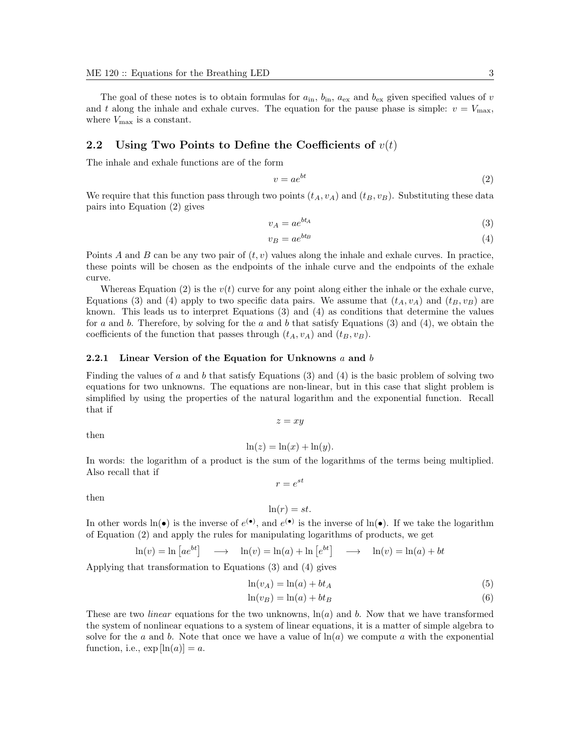The goal of these notes is to obtain formulas for  $a_{\rm in}$ ,  $b_{\rm in}$ ,  $a_{\rm ex}$  and  $b_{\rm ex}$  given specified values of v and t along the inhale and exhale curves. The equation for the pause phase is simple:  $v = V_{\text{max}}$ , where  $V_{\text{max}}$  is a constant.

### 2.2 Using Two Points to Define the Coefficients of  $v(t)$

The inhale and exhale functions are of the form

$$
v = ae^{bt} \tag{2}
$$

We require that this function pass through two points  $(t_A, v_A)$  and  $(t_B, v_B)$ . Substituting these data pairs into Equation (2) gives

$$
v_A = a e^{bt_A} \tag{3}
$$

$$
v_B = a e^{bt_B} \tag{4}
$$

Points A and B can be any two pair of  $(t, v)$  values along the inhale and exhale curves. In practice, these points will be chosen as the endpoints of the inhale curve and the endpoints of the exhale curve.

Whereas Equation (2) is the  $v(t)$  curve for any point along either the inhale or the exhale curve, Equations (3) and (4) apply to two specific data pairs. We assume that  $(t_A, v_A)$  and  $(t_B, v_B)$  are known. This leads us to interpret Equations (3) and (4) as conditions that determine the values for a and b. Therefore, by solving for the a and b that satisfy Equations (3) and (4), we obtain the coefficients of the function that passes through  $(t_A, v_A)$  and  $(t_B, v_B)$ .

#### 2.2.1 Linear Version of the Equation for Unknowns  $a$  and  $b$

Finding the values of a and b that satisfy Equations (3) and (4) is the basic problem of solving two equations for two unknowns. The equations are non-linear, but in this case that slight problem is simplified by using the properties of the natural logarithm and the exponential function. Recall that if

 $z = xy$ 

then

$$
\ln(z) = \ln(x) + \ln(y).
$$

In words: the logarithm of a product is the sum of the logarithms of the terms being multiplied. Also recall that if  $r = e^{st}$ 

then

$$
\ln(r) = st.
$$

In other words  $\ln(\bullet)$  is the inverse of  $e^{(\bullet)}$ , and  $e^{(\bullet)}$  is the inverse of  $\ln(\bullet)$ . If we take the logarithm of Equation (2) and apply the rules for manipulating logarithms of products, we get

$$
\ln(v) = \ln \left[ a e^{bt} \right] \longrightarrow \ln(v) = \ln(a) + \ln \left[ e^{bt} \right] \longrightarrow \ln(v) = \ln(a) + bt
$$

Applying that transformation to Equations (3) and (4) gives

$$
\ln(v_A) = \ln(a) + bt_A \tag{5}
$$

$$
\ln(v_B) = \ln(a) + bt_B \tag{6}
$$

These are two *linear* equations for the two unknowns,  $\ln(a)$  and b. Now that we have transformed the system of nonlinear equations to a system of linear equations, it is a matter of simple algebra to solve for the a and b. Note that once we have a value of  $\ln(a)$  we compute a with the exponential function, i.e.,  $\exp[\ln(a)] = a$ .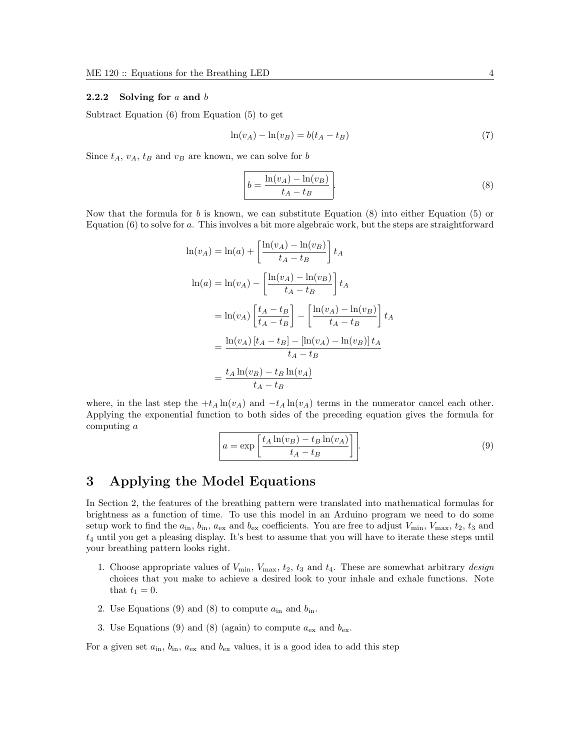#### 2.2.2 Solving for  $a$  and  $b$

Subtract Equation (6) from Equation (5) to get

$$
\ln(v_A) - \ln(v_B) = b(t_A - t_B) \tag{7}
$$

Since  $t_A$ ,  $v_A$ ,  $t_B$  and  $v_B$  are known, we can solve for b

$$
b = \frac{\ln(v_A) - \ln(v_B)}{t_A - t_B}.
$$
\n
$$
(8)
$$

Now that the formula for b is known, we can substitute Equation  $(8)$  into either Equation  $(5)$  or Equation  $(6)$  to solve for a. This involves a bit more algebraic work, but the steps are straightforward

$$
\ln(v_A) = \ln(a) + \left[\frac{\ln(v_A) - \ln(v_B)}{t_A - t_B}\right] t_A
$$
  

$$
\ln(a) = \ln(v_A) - \left[\frac{\ln(v_A) - \ln(v_B)}{t_A - t_B}\right] t_A
$$
  

$$
= \ln(v_A) \left[\frac{t_A - t_B}{t_A - t_B}\right] - \left[\frac{\ln(v_A) - \ln(v_B)}{t_A - t_B}\right] t_A
$$
  

$$
= \frac{\ln(v_A) [t_A - t_B] - [\ln(v_A) - \ln(v_B)] t_A}{t_A - t_B}
$$
  

$$
= \frac{t_A \ln(v_B) - t_B \ln(v_A)}{t_A - t_B}
$$

where, in the last step the  $+t_A \ln(v_A)$  and  $-t_A \ln(v_A)$  terms in the numerator cancel each other. Applying the exponential function to both sides of the preceding equation gives the formula for computing a

$$
a = \exp\left[\frac{t_A \ln(v_B) - t_B \ln(v_A)}{t_A - t_B}\right].
$$
\n(9)

## 3 Applying the Model Equations

In Section 2, the features of the breathing pattern were translated into mathematical formulas for brightness as a function of time. To use this model in an Arduino program we need to do some setup work to find the  $a_{\rm in}$ ,  $b_{\rm in}$ ,  $a_{\rm ex}$  and  $b_{\rm ex}$  coefficients. You are free to adjust  $V_{\rm min}$ ,  $V_{\rm max}$ ,  $t_2$ ,  $t_3$  and  $t_4$  until you get a pleasing display. It's best to assume that you will have to iterate these steps until your breathing pattern looks right.

- 1. Choose appropriate values of  $V_{\text{min}}$ ,  $V_{\text{max}}$ ,  $t_2$ ,  $t_3$  and  $t_4$ . These are somewhat arbitrary *design* choices that you make to achieve a desired look to your inhale and exhale functions. Note that  $t_1 = 0$ .
- 2. Use Equations (9) and (8) to compute  $a_{\text{in}}$  and  $b_{\text{in}}$ .
- 3. Use Equations (9) and (8) (again) to compute  $a_{\text{ex}}$  and  $b_{\text{ex}}$ .

For a given set  $a_{\rm in}$ ,  $b_{\rm in}$ ,  $a_{\rm ex}$  and  $b_{\rm ex}$  values, it is a good idea to add this step